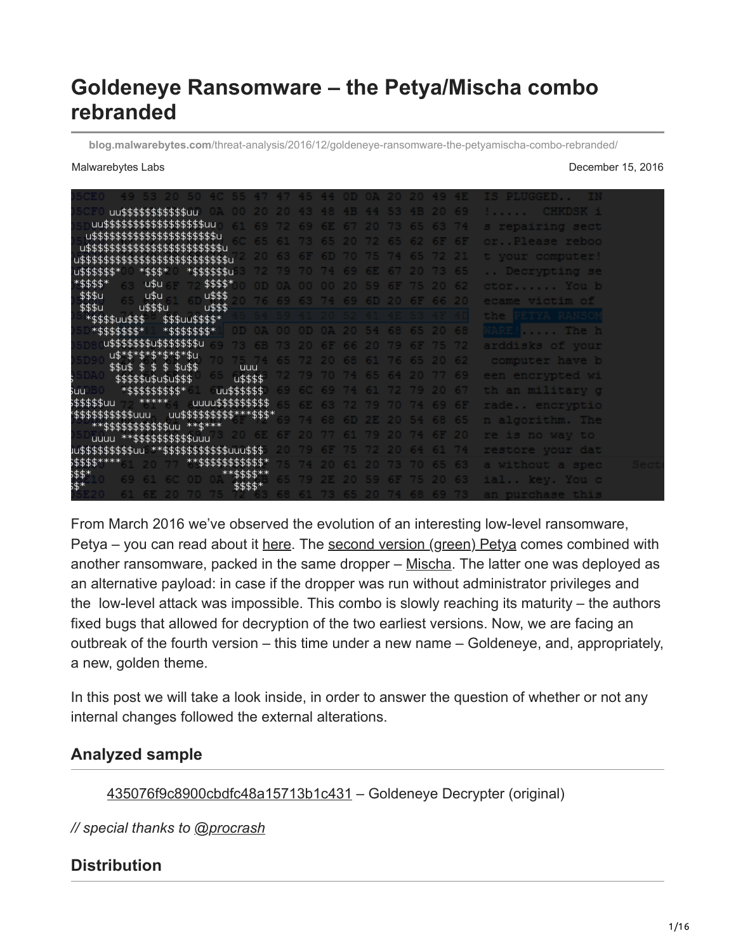# **Goldeneye Ransomware – the Petya/Mischa combo rebranded**

**blog.malwarebytes.com**[/threat-analysis/2016/12/goldeneye-ransomware-the-petyamischa-combo-rebranded/](https://blog.malwarebytes.com/threat-analysis/2016/12/goldeneye-ransomware-the-petyamischa-combo-rebranded/)

Malwarebytes Labs **December 15, 2016** 

| uu\$\$\$\$\$\$\$\$\$\$\$uu                                                                                |                                  |                            |  |       |                |                      | 48 4B 44 53 4B 20 69 |     | <b>CHKDSK 1</b><br><b>The County</b> |
|-----------------------------------------------------------------------------------------------------------|----------------------------------|----------------------------|--|-------|----------------|----------------------|----------------------|-----|--------------------------------------|
| uu\$\$\$\$\$\$\$\$\$\$\$\$\$\$\$\$\$\$uu                                                                  |                                  |                            |  | 67 20 |                |                      | 65 63 74             |     | s repairing sect                     |
| u\$\$\$\$\$\$\$\$\$\$\$\$\$\$\$\$\$\$\$\$\$\$u                                                            |                                  |                            |  | 20.72 |                |                      | 62 6F 6F             |     | orPlease reboo                       |
| u\$\$\$\$\$\$\$\$\$\$\$\$\$\$\$\$\$\$\$\$\$\$\$\$\$u<br>\$\$\$\$\$\$\$\$\$\$\$\$\$\$\$\$\$\$\$\$\$\$\$\$u |                                  |                            |  |       |                |                      |                      |     | t vour computer!                     |
| *\$\$\$\$\$\$u<br>$*$ \$\$\$*<br>u\$\$\$\$\$\$*                                                           |                                  |                            |  |       |                |                      |                      |     | Decrypting se                        |
| \$\$\$\$*<br>*\$\$\$\$*<br>u\$u.                                                                          |                                  |                            |  |       |                |                      |                      |     |                                      |
| \$\$\$u<br>u\$u<br>u\$\$\$                                                                                |                                  |                            |  |       |                |                      |                      |     | ctor You b                           |
| u\$\$\$<br>\$\$\$u<br>u\$\$\$u                                                                            |                                  | 76 69 63 74 69 6D 20 6F 66 |  |       |                |                      |                      |     | ecame victim of                      |
| \$\$\$uu\$\$\$\$*<br>*\$\$\$\$uu\$\$\$                                                                    |                                  |                            |  |       |                |                      |                      |     | the PETYA RANSON                     |
| *\$\$\$\$\$\$\$*<br>*\$\$\$\$\$\$\$*                                                                      | OD OA OO OD OA 20 54 68 65 20 68 |                            |  |       |                |                      |                      |     | WARE! The h                          |
| u\$\$\$\$\$\$\$u\$\$\$\$\$\$\$u                                                                           |                                  |                            |  | 66 20 |                |                      | 6F 75 72             |     | arddisks of your                     |
| u\$*\$*\$*\$*\$*\$*\$u                                                                                    |                                  |                            |  |       |                |                      | 65 20                | -62 | computer have b                      |
| \$\$u\$\$<br>\$ \$u\$\$<br>S.                                                                             | uuu                              |                            |  |       |                |                      |                      | 69  | een encrvpted wi                     |
| \$\$\$\$\$u\$u\$u\$\$\$                                                                                   | u\$\$\$\$                        |                            |  |       |                |                      |                      |     |                                      |
| *\$\$\$\$\$\$\$\$\$*<br>suu.                                                                              | uu\$\$\$\$\$\$                   |                            |  |       |                |                      | 74 61 72 79 20 67    |     | th an militarv q                     |
| *****<br>s\$\$\$\$\$uu<br>uuuu\$\$\$\$\$\$\$\$\$                                                          |                                  |                            |  |       | 63 72 79 70 74 |                      |                      |     | rade encryptio                       |
| uu\$\$\$\$\$\$\$\$\$** <u>*\$\$\$</u> *<br>°\$\$\$\$\$\$\$\$\$\$uuu<br>**\$\$\$\$\$\$\$\$\$\$\$uu **\$*** |                                  |                            |  |       |                |                      | 6D 2E 20 54 68 65    |     | n algorithm. The                     |
| **\$\$\$\$\$\$\$\$\$\$uuu<br>uuuu                                                                         |                                  |                            |  |       |                |                      |                      |     | re is no way to                      |
| iu\$\$\$\$\$\$\$\$\$uu<br>**\$\$\$\$\$\$\$\$\$\$\$uuu\$\$\$                                               |                                  |                            |  |       |                |                      |                      |     | restore vour dat                     |
| \$\$\$\$****<br>**\$\$\$\$\$\$\$\$\$\$\$*                                                                 |                                  |                            |  |       |                |                      |                      |     | a without a spec                     |
| ;\$\$*<br>;\$*                                                                                            | **\$\$\$\$**                     |                            |  |       |                |                      |                      | 63  |                                      |
|                                                                                                           | \$\$\$\$*                        |                            |  |       |                |                      |                      |     | ial key. You c                       |
|                                                                                                           |                                  |                            |  |       |                | 61 73 65 20 74 68 69 |                      |     | an purchase this                     |

From March 2016 we've observed the evolution of an interesting low-level ransomware, Petya - you can read about it [here](https://blog.malwarebytes.com/threat-analysis/2016/04/petya-ransomware/). The [second version \(green\) Petya](https://blog.malwarebytes.com/threat-analysis/2016/05/petya-and-mischa-ransomware-duet-p1/) comes combined with another ransomware, packed in the same dropper – [Mischa.](https://blog.malwarebytes.com/threat-analysis/2016/06/petya-and-mischa-ransomware-duet-p2/) The latter one was deployed as an alternative payload: in case if the dropper was run without administrator privileges and the low-level attack was impossible. This combo is slowly reaching its maturity – the authors fixed bugs that allowed for decryption of the two earliest versions. Now, we are facing an outbreak of the fourth version – this time under a new name – Goldeneye, and, appropriately, a new, golden theme.

In this post we will take a look inside, in order to answer the question of whether or not any internal changes followed the external alterations.

# **Analyzed sample**

#### [435076f9c8900cbdfc48a15713b1c431](https://malwr.com/analysis/MjNiODhmYmY0ZmU5NDUzOWIxZGRhMGM1YzllOTY1ZWE/share/8ea9ad053f8c4b988b7cc4645c1dec24) – Goldeneye Decrypter (original)

*// special thanks to [@procrash](https://twitter.com/procrash)*

# **Distribution**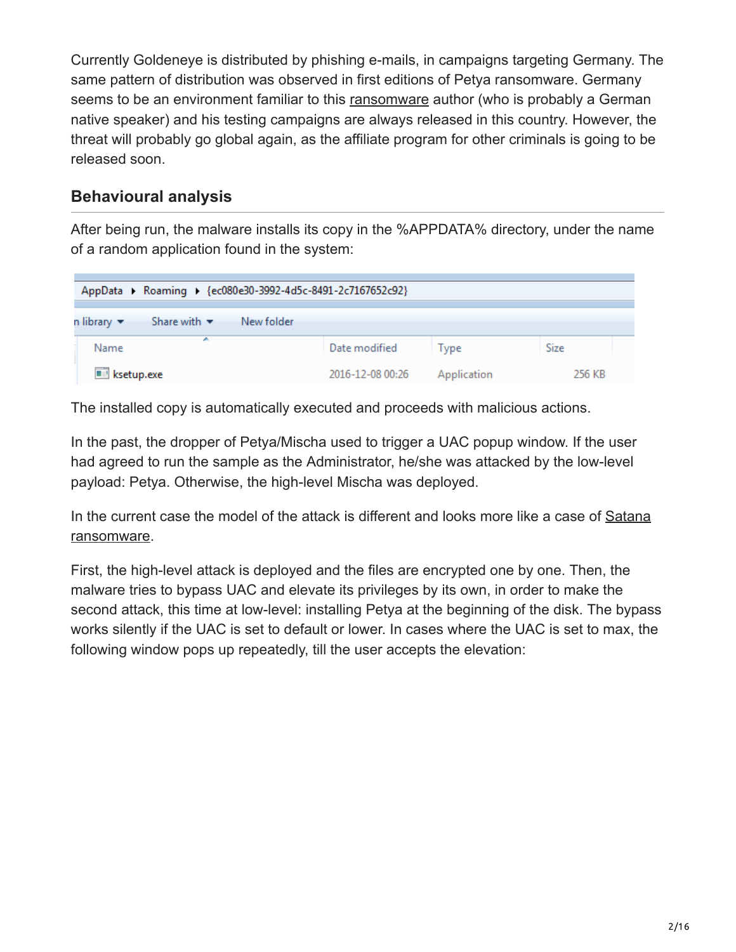Currently Goldeneye is distributed by phishing e-mails, in campaigns targeting Germany. The same pattern of distribution was observed in first editions of Petya ransomware. Germany seems to be an environment familiar to this [ransomware](https://www.malwarebytes.com/ransomware) author (who is probably a German native speaker) and his testing campaigns are always released in this country. However, the threat will probably go global again, as the affiliate program for other criminals is going to be released soon.

# **Behavioural analysis**

After being run, the malware installs its copy in the %APPDATA% directory, under the name of a random application found in the system:

| AppData > Roaming > {ec080e30-3992-4d5c-8491-2c7167652c92}                      |                  |             |             |
|---------------------------------------------------------------------------------|------------------|-------------|-------------|
| Share with $\blacktriangledown$<br>New folder<br>n library $\blacktriangledown$ |                  |             |             |
| ∸<br>Name                                                                       | Date modified    | Type        | <b>Size</b> |
| <b>EEI</b> ksetup.exe                                                           | 2016-12-08 00:26 | Application | 256 KB      |

The installed copy is automatically executed and proceeds with malicious actions.

In the past, the dropper of Petya/Mischa used to trigger a UAC popup window. If the user had agreed to run the sample as the Administrator, he/she was attacked by the low-level payload: Petya. Otherwise, the high-level Mischa was deployed.

[In the current case the model of the attack is different and looks more like a case of Satana](https://blog.malwarebytes.com/threat-analysis/2016/06/satana-ransomware/) ransomware.

First, the high-level attack is deployed and the files are encrypted one by one. Then, the malware tries to bypass UAC and elevate its privileges by its own, in order to make the second attack, this time at low-level: installing Petya at the beginning of the disk. The bypass works silently if the UAC is set to default or lower. In cases where the UAC is set to max, the following window pops up repeatedly, till the user accepts the elevation: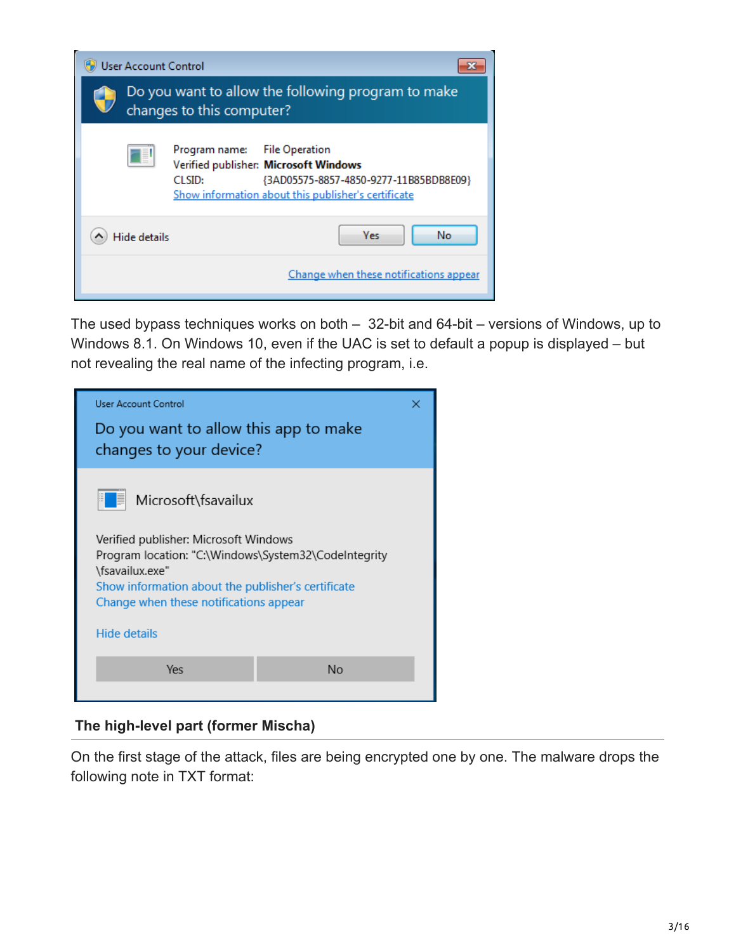| <b>User Account Control</b> |                                                                                                                                                                                  |
|-----------------------------|----------------------------------------------------------------------------------------------------------------------------------------------------------------------------------|
|                             | Do you want to allow the following program to make<br>changes to this computer?                                                                                                  |
|                             | Program name: File Operation<br>Verified publisher: Microsoft Windows<br>{3AD05575-8857-4850-9277-11B85BDB8E09}<br>CLSID:<br>Show information about this publisher's certificate |
| Hide details                | <b>Yes</b><br>No                                                                                                                                                                 |
|                             | Change when these notifications appear                                                                                                                                           |

The used bypass techniques works on both – 32-bit and 64-bit – versions of Windows, up to Windows 8.1. On Windows 10, even if the UAC is set to default a popup is displayed – but not revealing the real name of the infecting program, i.e.



### **The high-level part (former Mischa)**

On the first stage of the attack, files are being encrypted one by one. The malware drops the following note in TXT format: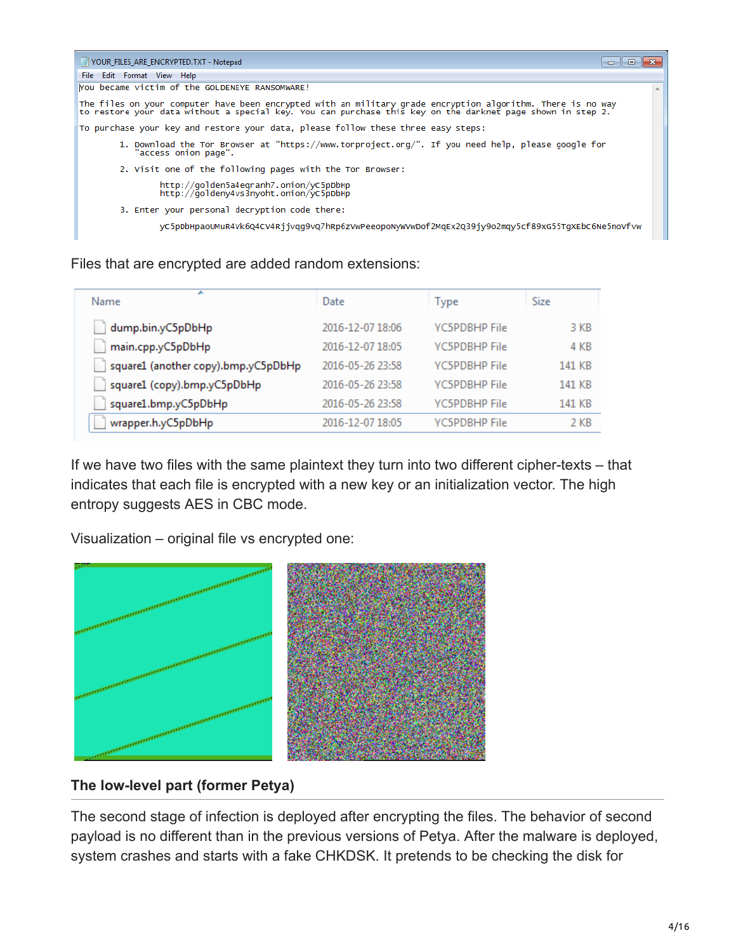| VOUR FILES ARE ENCRYPTED.TXT - Notepad                                                                                                                                                                                    | -91 |
|---------------------------------------------------------------------------------------------------------------------------------------------------------------------------------------------------------------------------|-----|
| File Edit Format View Help                                                                                                                                                                                                |     |
| You became victim of the GOLDENEYE RANSOMWARE!                                                                                                                                                                            |     |
| The files on your computer have been encrypted with an military grade encryption algorithm. There is no way<br>to restore your data without a special key. You can purchase this key on the darknet page shown in step 2. |     |
| To purchase your key and restore your data, please follow these three easy steps:                                                                                                                                         |     |
| 1. Download the Tor Browser at "https://www.torproject.org/". If you need help, please google for<br>"access onion page".                                                                                                 |     |
| 2. Visit one of the following pages with the Tor Browser:                                                                                                                                                                 |     |
| http://golden5a4eqranh7.onion/yC5pDbHp<br>http://goldeny4vs3nyoht.onion/yc5pDbHp                                                                                                                                          |     |
| 3. Enter your personal decryption code there:                                                                                                                                                                             |     |
| yc5pDbHpaoUMuR4Vk6Q4CV4Rjjvqq9vQ7hRp6zVwPeeopoNyWVwDof2MqEx2Q39jy9o2mqy5cf89xG55TqXEbC6Ne5noVfvw                                                                                                                          |     |

Files that are encrypted are added random extensions:

| ∽<br>Name                           | Date             | <b>Type</b>          | <b>Size</b> |
|-------------------------------------|------------------|----------------------|-------------|
| dump.bin.yC5pDbHp                   | 2016-12-07 18:06 | <b>YC5PDBHP File</b> | 3 KB        |
| main.cpp.yC5pDbHp                   | 2016-12-07 18:05 | <b>YC5PDBHP File</b> | 4 KB        |
| square1 (another copy).bmp.yC5pDbHp | 2016-05-26 23:58 | <b>VC5PDBHP File</b> | 141 KB      |
| square1 (copy).bmp.yC5pDbHp         | 2016-05-26 23:58 | <b>YC5PDBHP File</b> | 141 KB      |
| square1.bmp.yC5pDbHp                | 2016-05-26 23:58 | YC5PDBHP File        | 141 KB      |
| wrapper.h.yC5pDbHp                  | 2016-12-07 18:05 | <b>YC5PDBHP File</b> | 2 KB        |

If we have two files with the same plaintext they turn into two different cipher-texts – that indicates that each file is encrypted with a new key or an initialization vector. The high entropy suggests AES in CBC mode.

Visualization – original file vs encrypted one:



### **The low-level part (former Petya)**

The second stage of infection is deployed after encrypting the files. The behavior of second payload is no different than in the previous versions of Petya. After the malware is deployed, system crashes and starts with a fake CHKDSK. It pretends to be checking the disk for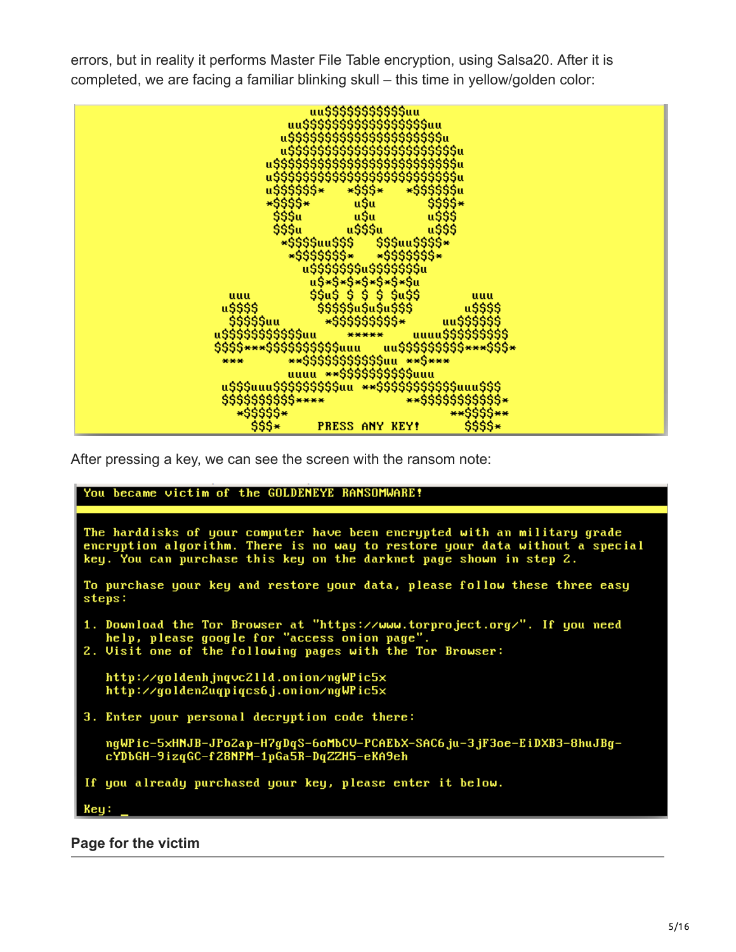errors, but in reality it performs Master File Table encryption, using Salsa20. After it is completed, we are facing a familiar blinking skull – this time in yellow/golden color:



After pressing a key, we can see the screen with the ransom note:

#### You became victim of the GOLDENEYE RANSOMWARE!

The harddisks of your computer have been encrypted with an military grade<br>encryption algorithm. There is no way to restore your data without a special key. You can purchase this key on the darknet page shown in step 2.

To purchase your key and restore your data, please follow these three easy steps:

- 1. Download the Tor Browser at "https://www.torproject.org/". If you need help, please google for "access onion page".
- 2. Visit one of the following pages with the Tor Browser:

http://goldenh.jnqvc2lld.onion/ngWPic5x http://golden2uqpiqcs6j.onion/ngWPic5x

3. Enter your personal decryption code there:

ngWPic-5xHNJB-JPo2ap-H7gDqS-6oMbCV-PCAEbX-SAC6ju-3jF3oe-EiDXB3-8huJBgcYDbGH-9izqGC-f28NPM-1pGa5R-DqZZH5-eKA9eh

If you already purchased your key, please enter it below.

Keu:

**Page for the victim**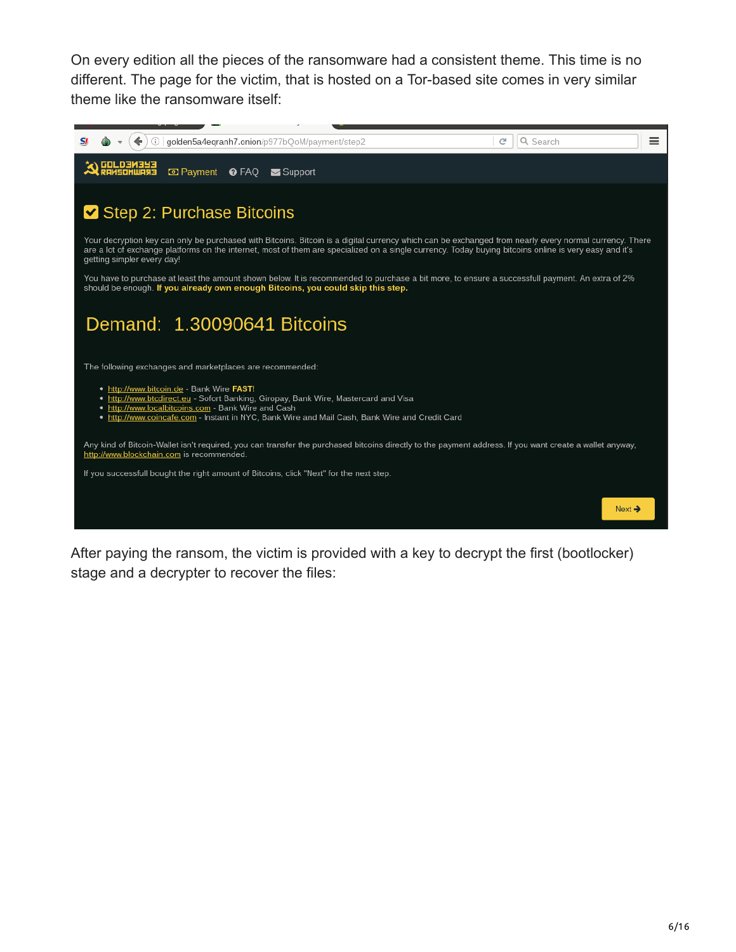On every edition all the pieces of the ransomware had a consistent theme. This time is no different. The page for the victim, that is hosted on a Tor-based site comes in very similar theme like the ransomware itself:



After paying the ransom, the victim is provided with a key to decrypt the first (bootlocker) stage and a decrypter to recover the files: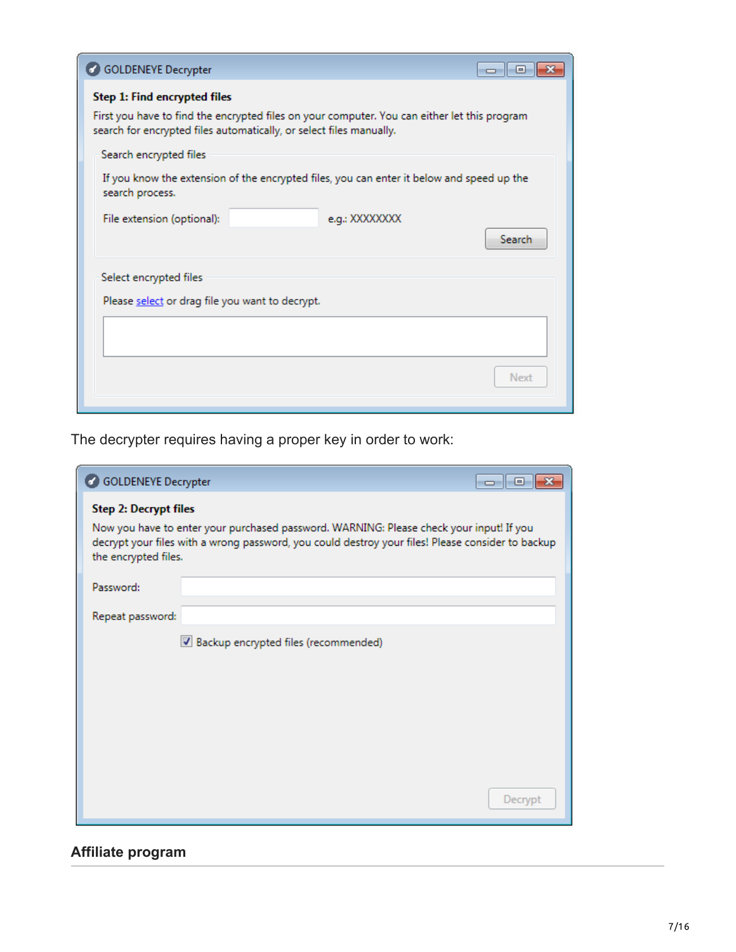| <b>GOLDENEYE Decrypter</b>                                                                                                                                                                          | -o-I-o- |
|-----------------------------------------------------------------------------------------------------------------------------------------------------------------------------------------------------|---------|
| Step 1: Find encrypted files<br>First you have to find the encrypted files on your computer. You can either let this program<br>search for encrypted files automatically, or select files manually. |         |
| Search encrypted files                                                                                                                                                                              |         |
| If you know the extension of the encrypted files, you can enter it below and speed up the<br>search process.                                                                                        |         |
| File extension (optional):<br>e.g.: XXXXXXXX                                                                                                                                                        | Search  |
| Select encrypted files                                                                                                                                                                              |         |
| Please select or drag file you want to decrypt.                                                                                                                                                     |         |
|                                                                                                                                                                                                     |         |
|                                                                                                                                                                                                     | Next    |

The decrypter requires having a proper key in order to work:

| <b>GOLDENEYE Decrypter</b>                           |                                                                                                                                                                                              | E<br>$\Box$ |
|------------------------------------------------------|----------------------------------------------------------------------------------------------------------------------------------------------------------------------------------------------|-------------|
| <b>Step 2: Decrypt files</b><br>the encrypted files. | Now you have to enter your purchased password. WARNING: Please check your input! If you<br>decrypt your files with a wrong password, you could destroy your files! Please consider to backup |             |
| Password:                                            |                                                                                                                                                                                              |             |
| Repeat password:                                     |                                                                                                                                                                                              |             |
|                                                      | Backup encrypted files (recommended)                                                                                                                                                         |             |
|                                                      |                                                                                                                                                                                              | Decrypt     |

# **Affiliate program**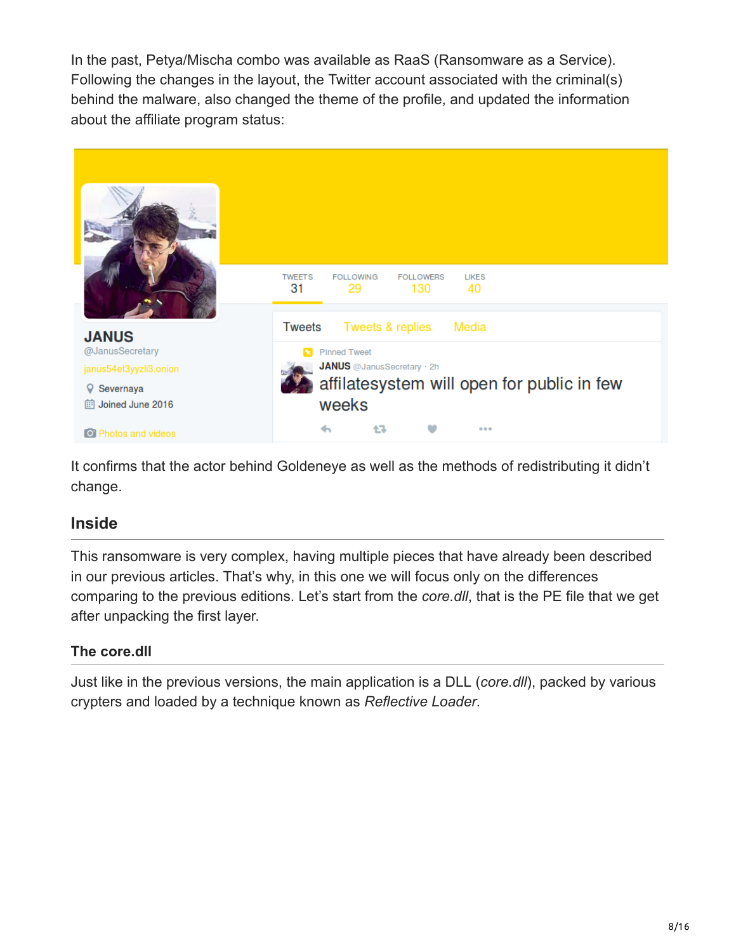In the past, Petya/Mischa combo was available as RaaS (Ransomware as a Service). Following the changes in the layout, the Twitter account associated with the criminal(s) behind the malware, also changed the theme of the profile, and updated the information about the affiliate program status:



It confirms that the actor behind Goldeneye as well as the methods of redistributing it didn't change.

# **Inside**

This ransomware is very complex, having multiple pieces that have already been described in our previous articles. That's why, in this one we will focus only on the differences comparing to the previous editions. Let's start from the *core.dll*, that is the PE file that we get after unpacking the first layer.

### **The core.dll**

Just like in the previous versions, the main application is a DLL (*core.dll*), packed by various crypters and loaded by a technique known as *Reflective Loader*.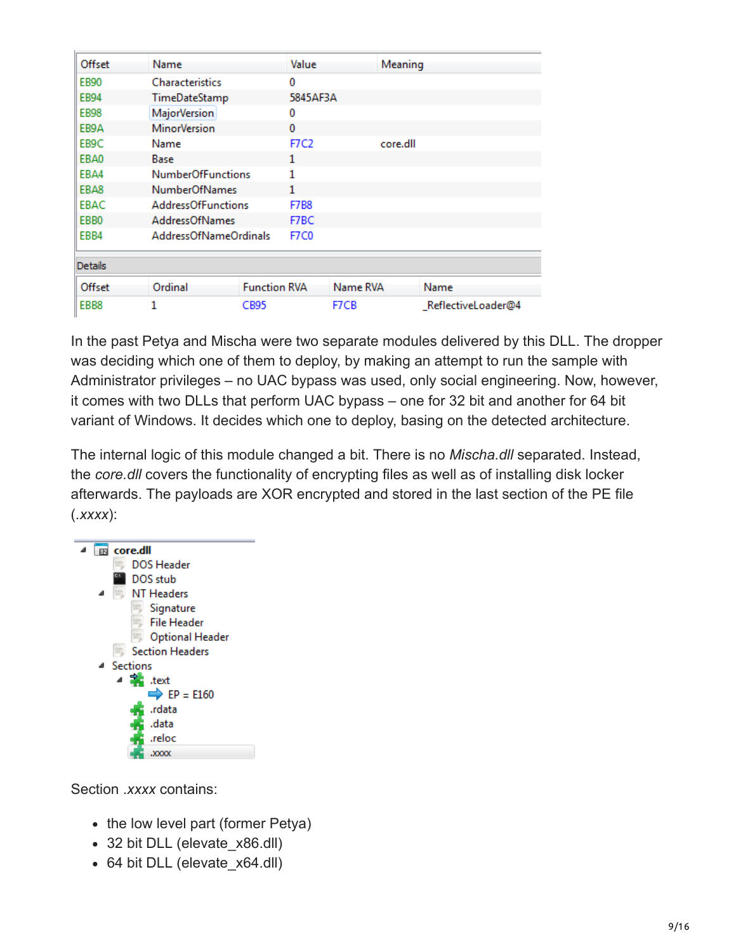| Offset           | Name                      |                     | Value        |          | Meaning  |                    |  |  |  |
|------------------|---------------------------|---------------------|--------------|----------|----------|--------------------|--|--|--|
| <b>EB90</b>      | Characteristics           |                     | 0            |          |          |                    |  |  |  |
| <b>EB94</b>      | TimeDateStamp             |                     | 5845AF3A     |          |          |                    |  |  |  |
| <b>EB98</b>      | <b>MajorVersion</b>       |                     | 0            |          |          |                    |  |  |  |
| EB9A             | <b>MinorVersion</b>       |                     | $\mathbf{0}$ |          |          |                    |  |  |  |
| EB9C             | Name                      |                     | <b>F7C2</b>  |          | core.dll |                    |  |  |  |
| EBA0             | Base                      |                     | 1            |          |          |                    |  |  |  |
| EBA4             | <b>NumberOfFunctions</b>  |                     | 1            |          |          |                    |  |  |  |
| EBA8             | <b>NumberOfNames</b>      |                     | 1            |          |          |                    |  |  |  |
| EBAC             | <b>AddressOfFunctions</b> |                     | <b>F7B8</b>  |          |          |                    |  |  |  |
| EBB <sub>0</sub> | <b>AddressOfNames</b>     |                     | F7BC         |          |          |                    |  |  |  |
| EBB4             | AddressOfNameOrdinals     |                     | F7C0         |          |          |                    |  |  |  |
| Details          |                           |                     |              |          |          |                    |  |  |  |
| Offset           | Ordinal                   | <b>Function RVA</b> |              | Name RVA |          | Name               |  |  |  |
| EBB8             |                           | CB95                |              | F7CB     |          | ReflectiveLoader@4 |  |  |  |
|                  |                           |                     |              |          |          |                    |  |  |  |

In the past Petya and Mischa were two separate modules delivered by this DLL. The dropper was deciding which one of them to deploy, by making an attempt to run the sample with Administrator privileges – no UAC bypass was used, only social engineering. Now, however, it comes with two DLLs that perform UAC bypass – one for 32 bit and another for 64 bit variant of Windows. It decides which one to deploy, basing on the detected architecture.

The internal logic of this module changed a bit. There is no *Mischa.dll* separated. Instead, the *core.dll* covers the functionality of encrypting files as well as of installing disk locker afterwards. The payloads are XOR encrypted and stored in the last section of the PE file (*.xxxx*):



Section .*xxxx* contains:

- the low level part (former Petya)
- 32 bit DLL (elevate x86.dll)
- 64 bit DLL (elevate x64.dll)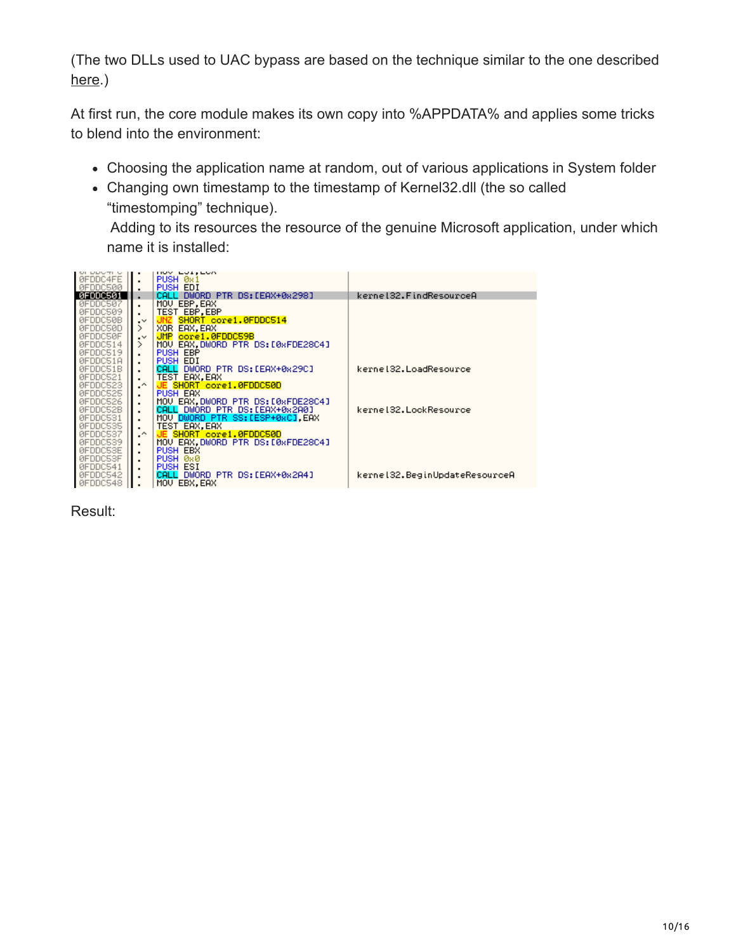(The two DLLs used to UAC bypass are based on the technique similar to the one described [here](http://www.rohitab.com/discuss/topic/40992-cc-uac-bypass/).)

At first run, the core module makes its own copy into %APPDATA% and applies some tricks to blend into the environment:

- Choosing the application name at random, out of various applications in System folder
- Changing own timestamp to the timestamp of Kernel32.dll (the so called "timestomping" technique).

Adding to its resources the resource of the genuine Microsoft application, under which name it is installed:



Result: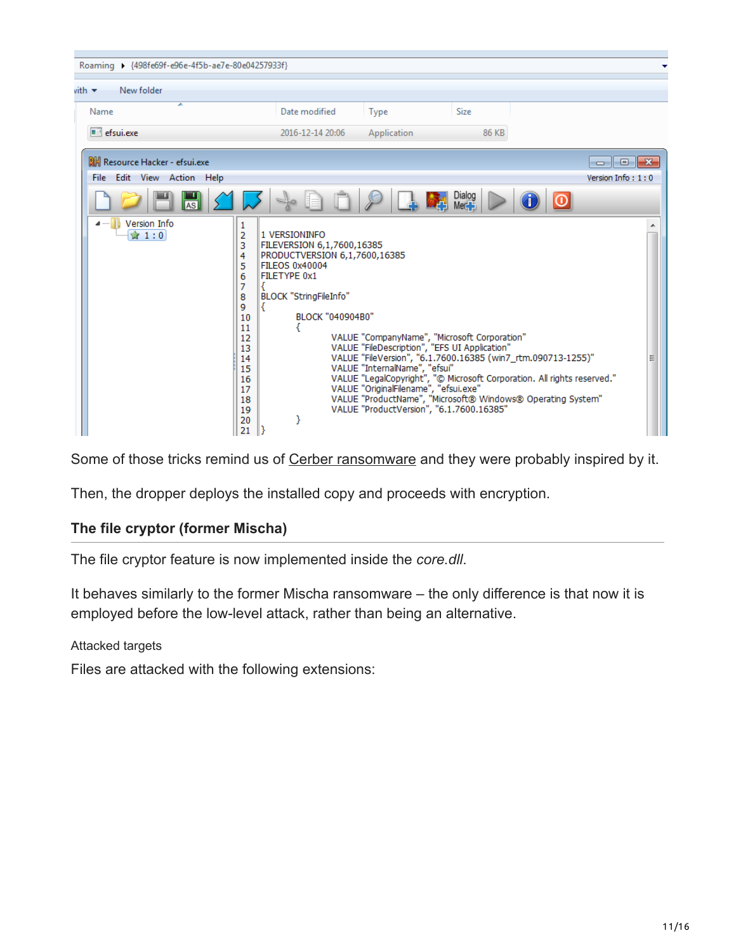| Roaming > {498fe69f-e96e-4f5b-ae7e-80e04257933f} |                                                                                                                                |                                                                                                                                                                     |                                                                                                                    |                                                                                               |                                                                                                                                                                                                        |
|--------------------------------------------------|--------------------------------------------------------------------------------------------------------------------------------|---------------------------------------------------------------------------------------------------------------------------------------------------------------------|--------------------------------------------------------------------------------------------------------------------|-----------------------------------------------------------------------------------------------|--------------------------------------------------------------------------------------------------------------------------------------------------------------------------------------------------------|
| New folder<br>vith $\blacktriangledown$          |                                                                                                                                |                                                                                                                                                                     |                                                                                                                    |                                                                                               |                                                                                                                                                                                                        |
| ≖<br>Name                                        |                                                                                                                                | Date modified                                                                                                                                                       | <b>Type</b>                                                                                                        | Size                                                                                          |                                                                                                                                                                                                        |
| efsui.exe                                        |                                                                                                                                | 2016-12-14 20:06                                                                                                                                                    | Application                                                                                                        | 86 KB                                                                                         |                                                                                                                                                                                                        |
| RH Resource Hacker - efsui.exe                   |                                                                                                                                |                                                                                                                                                                     |                                                                                                                    |                                                                                               | $\parallel x$<br>l o<br>$\Box$                                                                                                                                                                         |
| File Edit View Action Help                       |                                                                                                                                |                                                                                                                                                                     |                                                                                                                    |                                                                                               | Version Info: 1:0                                                                                                                                                                                      |
| AS                                               |                                                                                                                                |                                                                                                                                                                     |                                                                                                                    | Dialog<br>Mer                                                                                 |                                                                                                                                                                                                        |
| <b>Version Info</b><br>☆ 1:0                     | 1<br>$\overline{2}$<br>3<br>4<br>5<br>6<br>7<br>8<br>9<br>10<br>11<br>12<br>13<br>14<br>15<br>16<br>17<br>18<br>19<br>20<br>21 | 1 VERSIONINFO<br>FILEVERSION 6,1,7600,16385<br>PRODUCTVERSION 6,1,7600,16385<br>FILEOS 0x40004<br>FILETYPE 0x1<br><b>BLOCK "StringFileInfo"</b><br>BLOCK "040904B0" | VALUE "InternalName", "efsui"<br>VALUE "OriginalFilename", "efsui.exe"<br>VALUE "ProductVersion", "6.1.7600.16385" | VALUE "CompanyName", "Microsoft Corporation"<br>VALUE "FileDescription", "EFS UI Application" | VALUE "FileVersion", "6.1.7600.16385 (win7_rtm.090713-1255)"<br>VALUE "LegalCopyright", "@ Microsoft Corporation. All rights reserved."<br>VALUE "ProductName", "Microsoft® Windows® Operating System" |

Some of those tricks remind us of [Cerber ransomware](https://blog.malwarebytes.com/threat-analysis/2016/03/cerber-ransomware-new-but-mature/) and they were probably inspired by it.

Then, the dropper deploys the installed copy and proceeds with encryption.

#### **The file cryptor (former Mischa)**

The file cryptor feature is now implemented inside the *core.dll*.

It behaves similarly to the former Mischa ransomware – the only difference is that now it is employed before the low-level attack, rather than being an alternative.

Attacked targets

Files are attacked with the following extensions: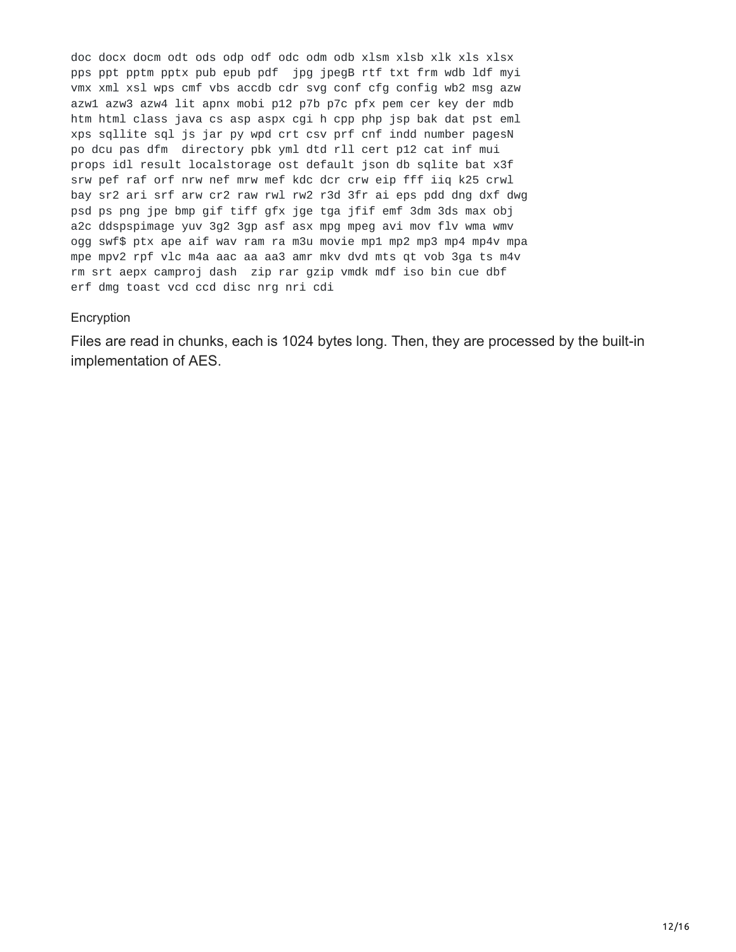doc docx docm odt ods odp odf odc odm odb xlsm xlsb xlk xls xlsx pps ppt pptm pptx pub epub pdf jpg jpegB rtf txt frm wdb ldf myi vmx xml xsl wps cmf vbs accdb cdr svg conf cfg config wb2 msg azw azw1 azw3 azw4 lit apnx mobi p12 p7b p7c pfx pem cer key der mdb htm html class java cs asp aspx cgi h cpp php jsp bak dat pst eml xps sqllite sql js jar py wpd crt csv prf cnf indd number pagesN po dcu pas dfm directory pbk yml dtd rll cert p12 cat inf mui props idl result localstorage ost default json db sqlite bat x3f srw pef raf orf nrw nef mrw mef kdc dcr crw eip fff iiq k25 crwl bay sr2 ari srf arw cr2 raw rwl rw2 r3d 3fr ai eps pdd dng dxf dwg psd ps png jpe bmp gif tiff gfx jge tga jfif emf 3dm 3ds max obj a2c ddspspimage yuv 3g2 3gp asf asx mpg mpeg avi mov flv wma wmv ogg swf\$ ptx ape aif wav ram ra m3u movie mp1 mp2 mp3 mp4 mp4v mpa mpe mpv2 rpf vlc m4a aac aa aa3 amr mkv dvd mts qt vob 3ga ts m4v rm srt aepx camproj dash zip rar gzip vmdk mdf iso bin cue dbf erf dmg toast vcd ccd disc nrg nri cdi

#### Encryption

Files are read in chunks, each is 1024 bytes long. Then, they are processed by the built-in implementation of AES.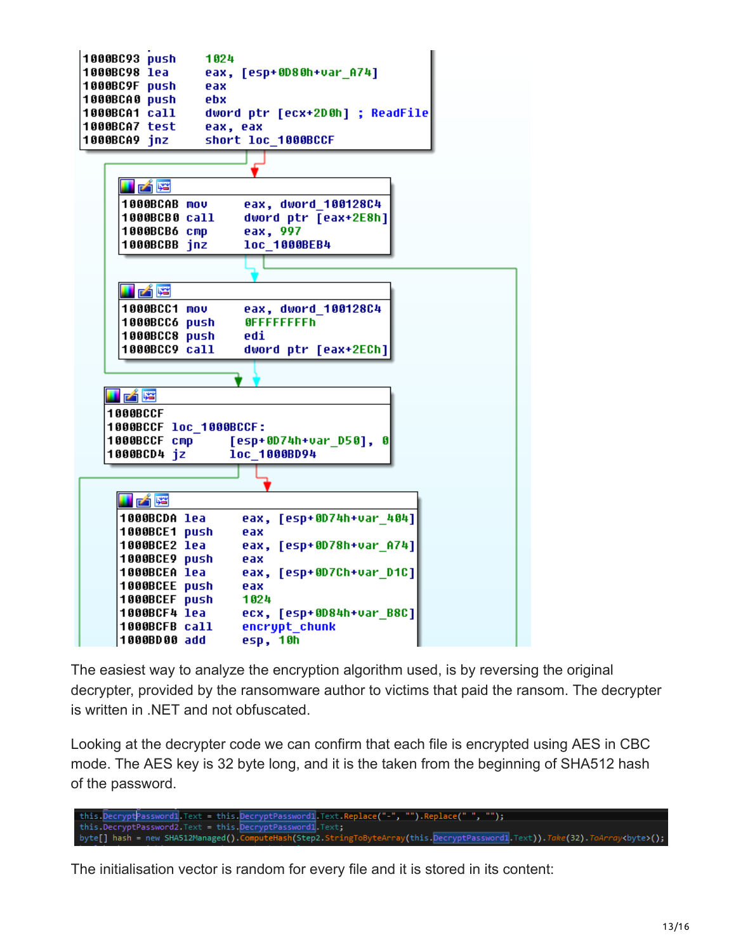

The easiest way to analyze the encryption algorithm used, is by reversing the original decrypter, provided by the ransomware author to victims that paid the ransom. The decrypter is written in .NET and not obfuscated.

Looking at the decrypter code we can confirm that each file is encrypted using AES in CBC mode. The AES key is 32 byte long, and it is the taken from the beginning of SHA512 hash of the password.

this.DecryptPassword1.Text = this.DecryptPassword1.Text.Replace("-", "").Replace(" ", ""); this.DecryptPassword2.Text = this.<mark>DecryptPassword1</mark>.Text**;** byte[] hash = new SHA512Managed().ComputeHash(Step2.StringToByteArray(this.DecryptPassword1<mark>.Text)).*Take(32).ToArray*<br/>thyte>();</mark>

The initialisation vector is random for every file and it is stored in its content: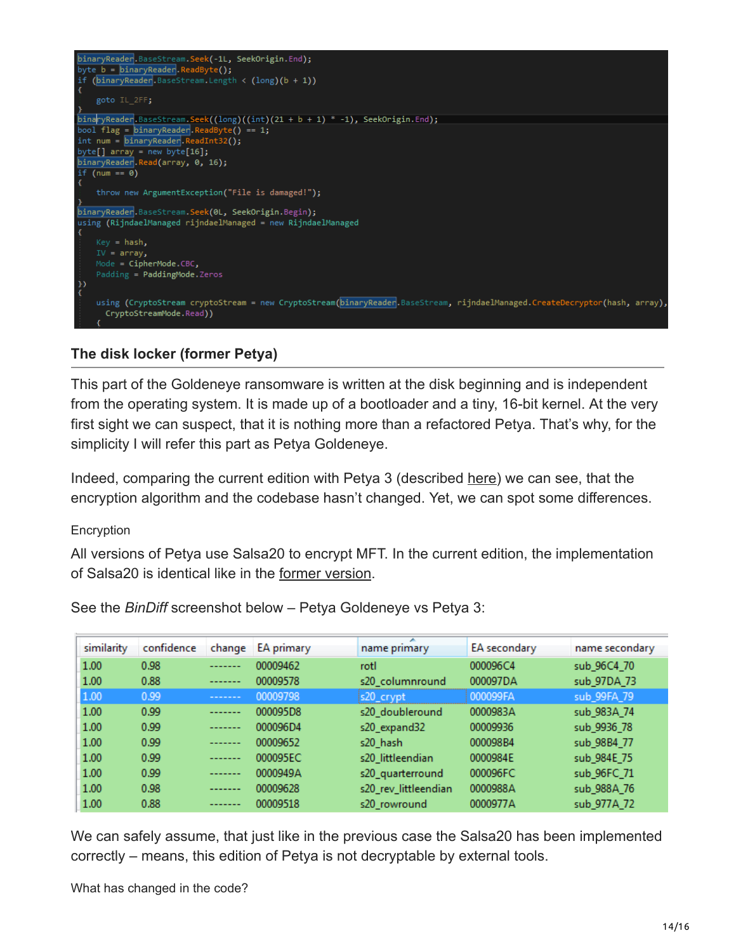

#### **The disk locker (former Petya)**

This part of the Goldeneye ransomware is written at the disk beginning and is independent from the operating system. It is made up of a bootloader and a tiny, 16-bit kernel. At the very first sight we can suspect, that it is nothing more than a refactored Petya. That's why, for the simplicity I will refer this part as Petya Goldeneye.

Indeed, comparing the current edition with Petya 3 (described [here](https://blog.malwarebytes.com/threat-analysis/2016/07/third-time-unlucky-improved-petya-is-out/)) we can see, that the encryption algorithm and the codebase hasn't changed. Yet, we can spot some differences.

#### Encryption

All versions of Petya use Salsa20 to encrypt MFT. In the current edition, the implementation of Salsa20 is identical like in the [former version](https://blog.malwarebytes.com/threat-analysis/2016/07/third-time-unlucky-improved-petya-is-out/).

| similarity | confidence | change  | EA primary | name primary         | EA secondary | name secondary |
|------------|------------|---------|------------|----------------------|--------------|----------------|
| 1.00       | 0.98       | ------- | 00009462   | rotl                 | 000096C4     | sub 96C4 70    |
| 1.00       | 0.88       | ------- | 00009578   | s20 columnround      | 000097DA     | sub_97DA_73    |
| 1.00       | 0.99       | ------- | 00009798   | s20_crypt            | 000099FA     | sub 99FA 79    |
| 1.00       | 0.99       | ------- | 000095D8   | s20_doubleround      | 0000983A     | sub_983A_74    |
| 1.00       | 0.99       | ------- | 000096D4   | s20_expand32         | 00009936     | sub 9936_78    |
| 1.00       | 0.99       | ------- | 00009652   | s20 hash             | 000098B4     | sub 98B4 77    |
| 1.00       | 0.99       | ------- | 000095EC   | s20 littleendian     | 0000984E     | sub_984E_75    |
| 1.00       | 0.99       | ------- | 0000949A   | s20_quarterround     | 000096FC     | sub_96FC_71    |
| 1.00       | 0.98       | ------- | 00009628   | s20_rev_littleendian | 0000988A     | sub_988A_76    |
| 1.00       | 0.88       | ------- | 00009518   | s20_rowround         | 0000977A     | sub_977A_72    |

See the *BinDiff* screenshot below – Petya Goldeneye vs Petya 3:

We can safely assume, that just like in the previous case the Salsa20 has been implemented correctly – means, this edition of Petya is not decryptable by external tools.

What has changed in the code?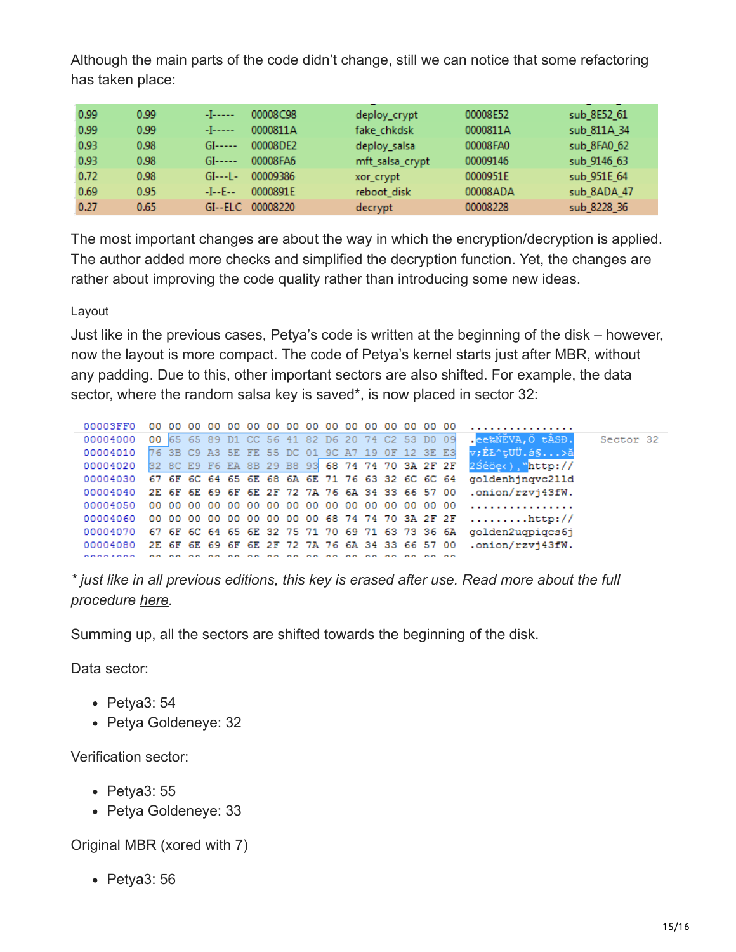Although the main parts of the code didn't change, still we can notice that some refactoring has taken place:

| 0.99 | 0.99 | -1-----    | 00008C98 | deploy_crypt    | 00008E52 | sub 8E52 61 |
|------|------|------------|----------|-----------------|----------|-------------|
| 0.99 | 0.99 | -1-----    | 0000811A | fake_chkdsk     | 0000811A | sub 811A 34 |
| 0.93 | 0.98 | $GI---$    | 00008DE2 | deploy_salsa    | 00008FA0 | sub 8FA0 62 |
| 0.93 | 0.98 | $GI---$    | 00008FA6 | mft_salsa_crypt | 00009146 | sub 9146 63 |
| 0.72 | 0.98 | $GI--L-$   | 00009386 | xor_crypt       | 0000951E | sub 951E 64 |
| 0.69 | 0.95 | $-I - E -$ | 0000891E | reboot disk     | 00008ADA | sub 8ADA 47 |
| 0.27 | 0.65 | $GI--ELC$  | 00008220 | decrypt         | 00008228 | sub 8228 36 |

The most important changes are about the way in which the encryption/decryption is applied. The author added more checks and simplified the decryption function. Yet, the changes are rather about improving the code quality rather than introducing some new ideas.

Layout

Just like in the previous cases, Petya's code is written at the beginning of the disk – however, now the layout is more compact. The code of Petya's kernel starts just after MBR, without any padding. Due to this, other important sectors are also shifted. For example, the data sector, where the random salsa key is saved\*, is now placed in sector 32:

| 00003FF0                                                 |  |  |  |  |  |  |                                                 |  |                                                                  |           |
|----------------------------------------------------------|--|--|--|--|--|--|-------------------------------------------------|--|------------------------------------------------------------------|-----------|
| 00004000                                                 |  |  |  |  |  |  | 00 65 65 89 D1 CC 56 41 82 D6 20 74 C2 53 D0 09 |  | ee‱NĚVA,Ö tÂSĐ.                                                  | Sector 32 |
| 00004010 76 3B C9 A3 5E FE 55 DC 01 9C A7 19 OF 12 3E E3 |  |  |  |  |  |  |                                                 |  | v;ÉŁ^tUÜ.ś§>ă                                                    |           |
| 00004020 32 8C E9 F6 EA 8B 29 B8 93 68 74 74 70 3A 2F 2F |  |  |  |  |  |  |                                                 |  | 2Séöek), "http://                                                |           |
| 00004030 67 6F 6C 64 65 6E 68 6A 6E 71 76 63 32 6C 6C 64 |  |  |  |  |  |  |                                                 |  | goldenhingvc211d                                                 |           |
| 00004040 2E 6F 6E 69 6F 6E 2F 72 7A 76 6A 34 33 66 57 00 |  |  |  |  |  |  |                                                 |  | .onion/rzvi43fW.                                                 |           |
|                                                          |  |  |  |  |  |  |                                                 |  |                                                                  |           |
|                                                          |  |  |  |  |  |  |                                                 |  | 00004060 00 00 00 00 00 00 00 00 00 68 74 74 70 3A 2F 2F http:// |           |
| 00004070 67 6F 6C 64 65 6E 32 75 71 70 69 71 63 73 36 6A |  |  |  |  |  |  |                                                 |  | golden2ugpigcs6j                                                 |           |
| 00004080                                                 |  |  |  |  |  |  |                                                 |  | 2E 6F 6E 69 6F 6E 2F 72 7A 76 6A 34 33 66 57 00 .onion/rzvi43fW. |           |
|                                                          |  |  |  |  |  |  |                                                 |  |                                                                  |           |

*\* just like in all previous editions, this key is erased after use. Read more about the full procedure [here](https://blog.malwarebytes.com/threat-analysis/2016/04/petya-ransomware/).*

Summing up, all the sectors are shifted towards the beginning of the disk.

Data sector:

- Petya3: 54
- Petya Goldeneye: 32

Verification sector:

- Petya3: 55
- Petya Goldeneye: 33

Original MBR (xored with 7)

Petya3: 56